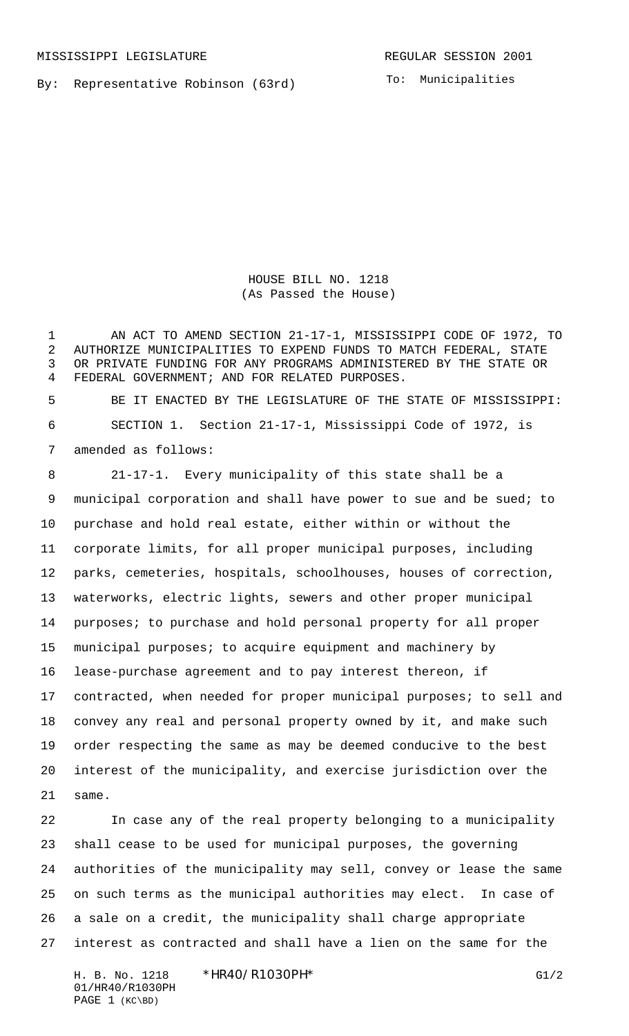By: Representative Robinson (63rd)

To: Municipalities

HOUSE BILL NO. 1218 (As Passed the House)

 AN ACT TO AMEND SECTION 21-17-1, MISSISSIPPI CODE OF 1972, TO AUTHORIZE MUNICIPALITIES TO EXPEND FUNDS TO MATCH FEDERAL, STATE OR PRIVATE FUNDING FOR ANY PROGRAMS ADMINISTERED BY THE STATE OR FEDERAL GOVERNMENT; AND FOR RELATED PURPOSES.

 BE IT ENACTED BY THE LEGISLATURE OF THE STATE OF MISSISSIPPI: SECTION 1. Section 21-17-1, Mississippi Code of 1972, is amended as follows:

 21-17-1. Every municipality of this state shall be a municipal corporation and shall have power to sue and be sued; to purchase and hold real estate, either within or without the corporate limits, for all proper municipal purposes, including parks, cemeteries, hospitals, schoolhouses, houses of correction, waterworks, electric lights, sewers and other proper municipal 14 purposes; to purchase and hold personal property for all proper municipal purposes; to acquire equipment and machinery by lease-purchase agreement and to pay interest thereon, if contracted, when needed for proper municipal purposes; to sell and convey any real and personal property owned by it, and make such order respecting the same as may be deemed conducive to the best interest of the municipality, and exercise jurisdiction over the same.

 In case any of the real property belonging to a municipality shall cease to be used for municipal purposes, the governing authorities of the municipality may sell, convey or lease the same on such terms as the municipal authorities may elect. In case of a sale on a credit, the municipality shall charge appropriate interest as contracted and shall have a lien on the same for the

H. B. No. 1218 \*HR40/R1030PH\* G1/2 01/HR40/R1030PH PAGE 1 (KC\BD)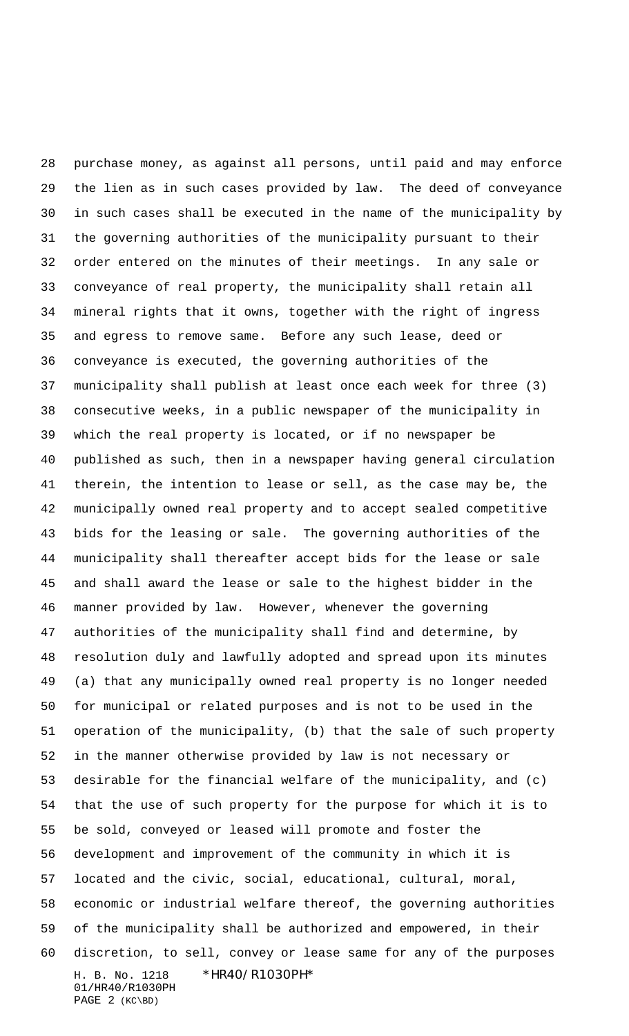H. B. No. 1218 \*HR40/R1030PH\* 01/HR40/R1030PH PAGE 2 (KC\BD) purchase money, as against all persons, until paid and may enforce the lien as in such cases provided by law. The deed of conveyance in such cases shall be executed in the name of the municipality by the governing authorities of the municipality pursuant to their order entered on the minutes of their meetings. In any sale or conveyance of real property, the municipality shall retain all mineral rights that it owns, together with the right of ingress and egress to remove same. Before any such lease, deed or conveyance is executed, the governing authorities of the municipality shall publish at least once each week for three (3) consecutive weeks, in a public newspaper of the municipality in which the real property is located, or if no newspaper be published as such, then in a newspaper having general circulation therein, the intention to lease or sell, as the case may be, the municipally owned real property and to accept sealed competitive bids for the leasing or sale. The governing authorities of the municipality shall thereafter accept bids for the lease or sale and shall award the lease or sale to the highest bidder in the manner provided by law. However, whenever the governing authorities of the municipality shall find and determine, by resolution duly and lawfully adopted and spread upon its minutes (a) that any municipally owned real property is no longer needed for municipal or related purposes and is not to be used in the operation of the municipality, (b) that the sale of such property in the manner otherwise provided by law is not necessary or desirable for the financial welfare of the municipality, and (c) that the use of such property for the purpose for which it is to be sold, conveyed or leased will promote and foster the development and improvement of the community in which it is located and the civic, social, educational, cultural, moral, economic or industrial welfare thereof, the governing authorities of the municipality shall be authorized and empowered, in their discretion, to sell, convey or lease same for any of the purposes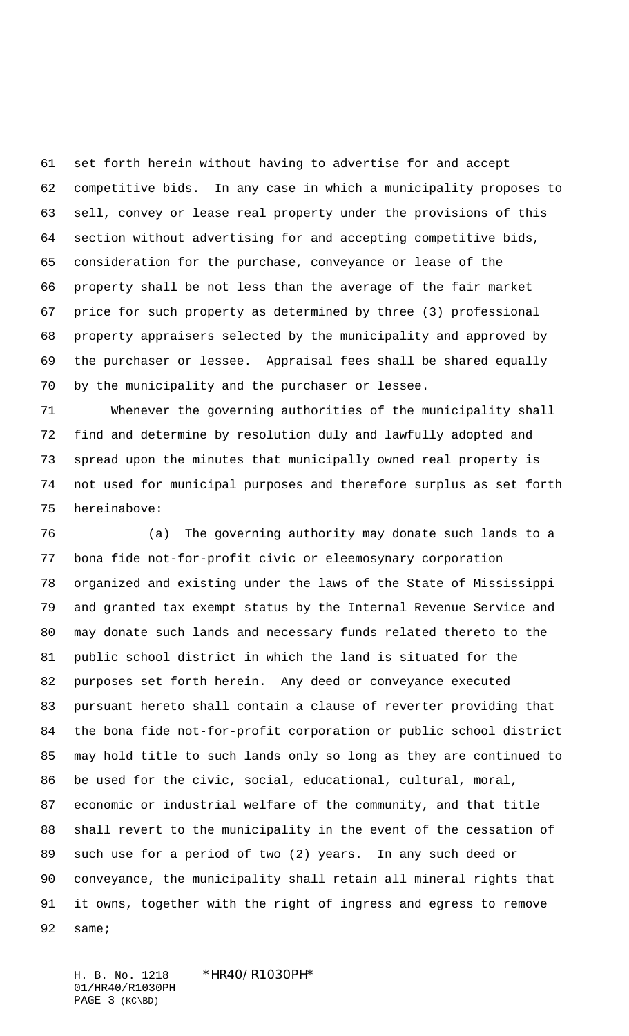set forth herein without having to advertise for and accept competitive bids. In any case in which a municipality proposes to sell, convey or lease real property under the provisions of this section without advertising for and accepting competitive bids, consideration for the purchase, conveyance or lease of the property shall be not less than the average of the fair market price for such property as determined by three (3) professional property appraisers selected by the municipality and approved by the purchaser or lessee. Appraisal fees shall be shared equally by the municipality and the purchaser or lessee.

 Whenever the governing authorities of the municipality shall find and determine by resolution duly and lawfully adopted and spread upon the minutes that municipally owned real property is not used for municipal purposes and therefore surplus as set forth hereinabove:

 (a) The governing authority may donate such lands to a bona fide not-for-profit civic or eleemosynary corporation organized and existing under the laws of the State of Mississippi and granted tax exempt status by the Internal Revenue Service and may donate such lands and necessary funds related thereto to the public school district in which the land is situated for the purposes set forth herein. Any deed or conveyance executed pursuant hereto shall contain a clause of reverter providing that the bona fide not-for-profit corporation or public school district may hold title to such lands only so long as they are continued to be used for the civic, social, educational, cultural, moral, economic or industrial welfare of the community, and that title shall revert to the municipality in the event of the cessation of such use for a period of two (2) years. In any such deed or conveyance, the municipality shall retain all mineral rights that it owns, together with the right of ingress and egress to remove same;

H. B. No. 1218 \*HR40/R1030PH\* 01/HR40/R1030PH PAGE 3 (KC\BD)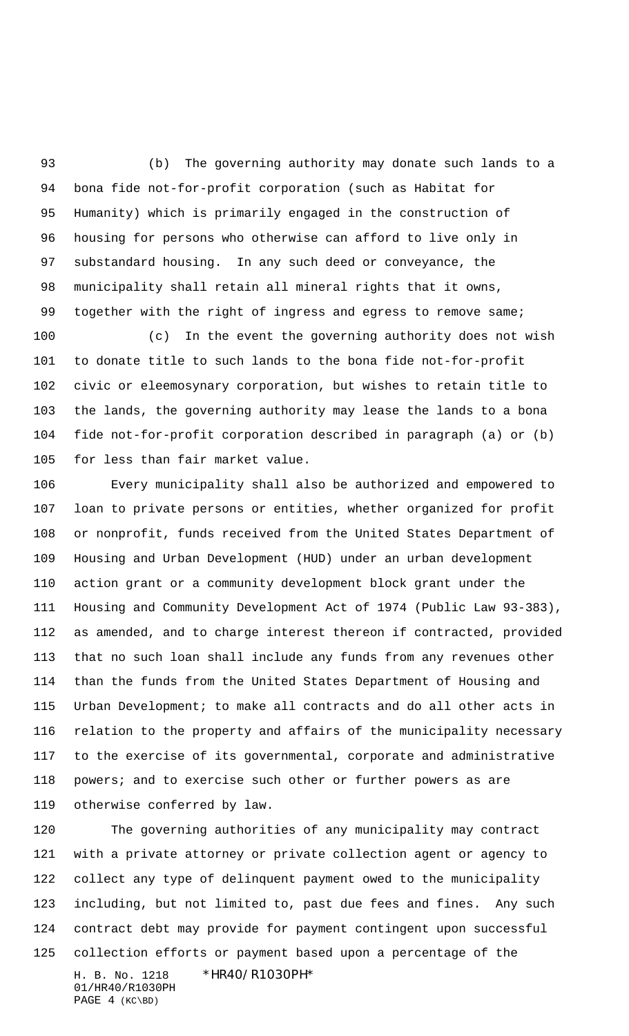(b) The governing authority may donate such lands to a bona fide not-for-profit corporation (such as Habitat for Humanity) which is primarily engaged in the construction of housing for persons who otherwise can afford to live only in substandard housing. In any such deed or conveyance, the municipality shall retain all mineral rights that it owns, 99 together with the right of ingress and egress to remove same;

 (c) In the event the governing authority does not wish to donate title to such lands to the bona fide not-for-profit civic or eleemosynary corporation, but wishes to retain title to the lands, the governing authority may lease the lands to a bona fide not-for-profit corporation described in paragraph (a) or (b) for less than fair market value.

 Every municipality shall also be authorized and empowered to loan to private persons or entities, whether organized for profit or nonprofit, funds received from the United States Department of Housing and Urban Development (HUD) under an urban development action grant or a community development block grant under the Housing and Community Development Act of 1974 (Public Law 93-383), as amended, and to charge interest thereon if contracted, provided that no such loan shall include any funds from any revenues other than the funds from the United States Department of Housing and Urban Development; to make all contracts and do all other acts in relation to the property and affairs of the municipality necessary to the exercise of its governmental, corporate and administrative 118 powers; and to exercise such other or further powers as are otherwise conferred by law.

H. B. No. 1218 \*HR40/R1030PH\* 01/HR40/R1030PH PAGE 4 (KC\BD) The governing authorities of any municipality may contract with a private attorney or private collection agent or agency to collect any type of delinquent payment owed to the municipality including, but not limited to, past due fees and fines. Any such contract debt may provide for payment contingent upon successful collection efforts or payment based upon a percentage of the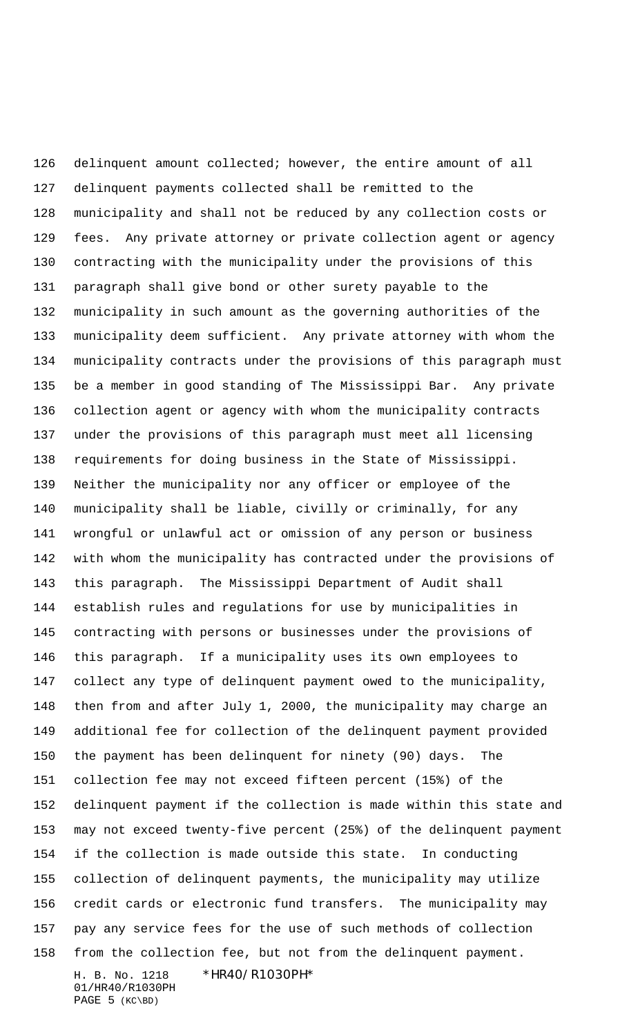H. B. No. 1218 \*HR40/R1030PH\* 01/HR40/R1030PH PAGE 5 (KC\BD) delinquent amount collected; however, the entire amount of all delinquent payments collected shall be remitted to the municipality and shall not be reduced by any collection costs or fees. Any private attorney or private collection agent or agency contracting with the municipality under the provisions of this paragraph shall give bond or other surety payable to the municipality in such amount as the governing authorities of the municipality deem sufficient. Any private attorney with whom the municipality contracts under the provisions of this paragraph must be a member in good standing of The Mississippi Bar. Any private collection agent or agency with whom the municipality contracts under the provisions of this paragraph must meet all licensing requirements for doing business in the State of Mississippi. Neither the municipality nor any officer or employee of the municipality shall be liable, civilly or criminally, for any wrongful or unlawful act or omission of any person or business with whom the municipality has contracted under the provisions of this paragraph. The Mississippi Department of Audit shall establish rules and regulations for use by municipalities in contracting with persons or businesses under the provisions of this paragraph. If a municipality uses its own employees to collect any type of delinquent payment owed to the municipality, then from and after July 1, 2000, the municipality may charge an additional fee for collection of the delinquent payment provided the payment has been delinquent for ninety (90) days. The collection fee may not exceed fifteen percent (15%) of the delinquent payment if the collection is made within this state and may not exceed twenty-five percent (25%) of the delinquent payment if the collection is made outside this state. In conducting collection of delinquent payments, the municipality may utilize credit cards or electronic fund transfers. The municipality may pay any service fees for the use of such methods of collection from the collection fee, but not from the delinquent payment.